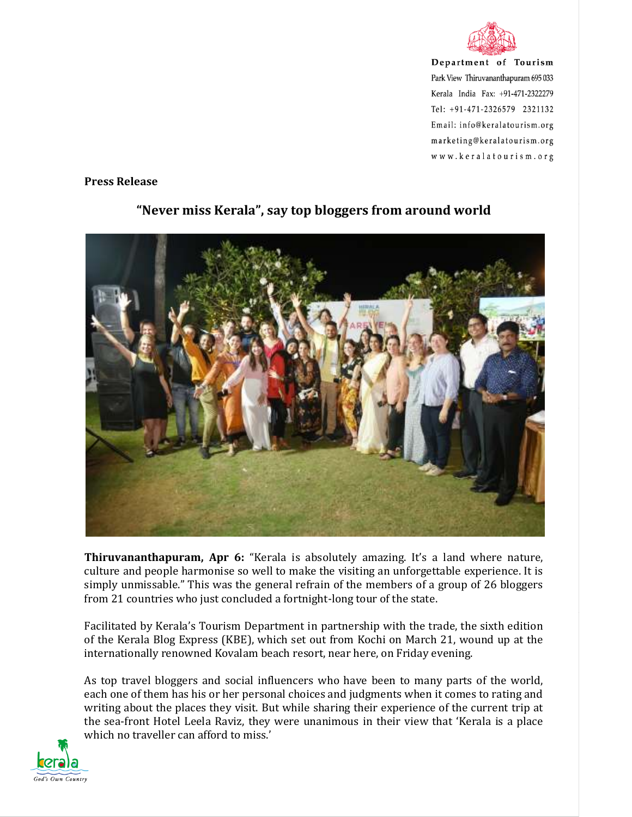

Department of Tourism Park View Thiruvananthapuram 695 033 Kerala India Fax: +91-471-2322279 Tel: +91-471-2326579 2321132 Email: info@keralatourism.org marketing@keralatourism.org www.keralatourism.org

## **Press Release**



## **"Never miss Kerala", say top bloggers from around world**

**Thiruvananthapuram, Apr 6:** "Kerala is absolutely amazing. It's a land where nature, culture and people harmonise so well to make the visiting an unforgettable experience. It is simply unmissable." This was the general refrain of the members of a group of 26 bloggers from 21 countries who just concluded a fortnight-long tour of the state.

Facilitated by Kerala's Tourism Department in partnership with the trade, the sixth edition of the Kerala Blog Express (KBE), which set out from Kochi on March 21, wound up at the internationally renowned Kovalam beach resort, near here, on Friday evening.

As top travel bloggers and social influencers who have been to many parts of the world, each one of them has his or her personal choices and judgments when it comes to rating and writing about the places they visit. But while sharing their experience of the current trip at the sea-front Hotel Leela Raviz, they were unanimous in their view that 'Kerala is a place which no traveller can afford to miss.'

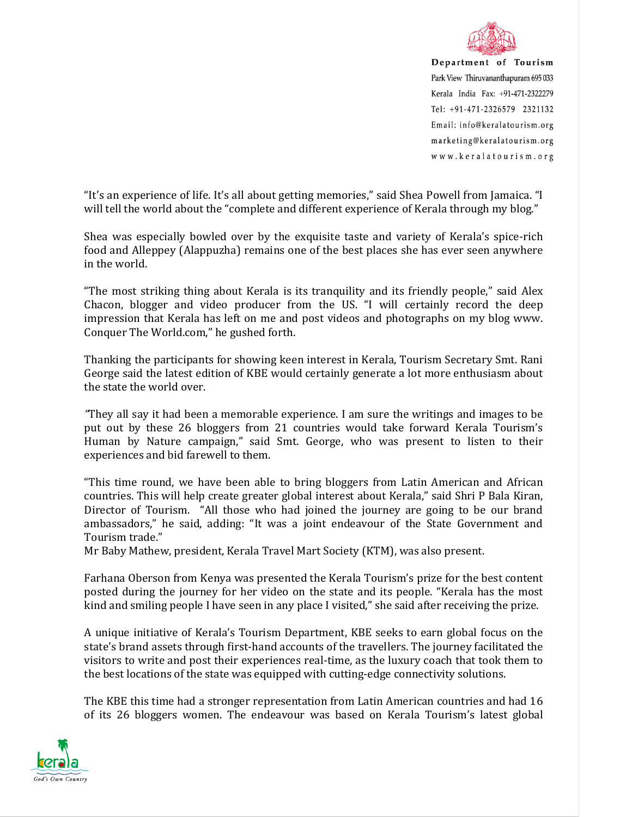

Department of Tourism Park View Thiruvananthapuram 695 033 Kerala India Fax: +91-471-2322279 Tel: +91-471-2326579 2321132 Email: info@keralatourism.org marketing@keralatourism.org www.keralatourism.org

"It's an experience of life. It's all about getting memories," said Shea Powell from Jamaica. "I will tell the world about the "complete and different experience of Kerala through my blog."

Shea was especially bowled over by the exquisite taste and variety of Kerala's spice-rich food and Alleppey (Alappuzha) remains one of the best places she has ever seen anywhere in the world.

"The most striking thing about Kerala is its tranquility and its friendly people," said Alex Chacon, blogger and video producer from the US. "I will certainly record the deep impression that Kerala has left on me and post videos and photographs on my blog www. Conquer The World.com," he gushed forth.

Thanking the participants for showing keen interest in Kerala, Tourism Secretary Smt. Rani George said the latest edition of KBE would certainly generate a lot more enthusiasm about the state the world over.

*"*They all say it had been a memorable experience. I am sure the writings and images to be put out by these 26 bloggers from 21 countries would take forward Kerala Tourism's Human by Nature campaign," said Smt. George, who was present to listen to their experiences and bid farewell to them.

"This time round, we have been able to bring bloggers from Latin American and African countries. This will help create greater global interest about Kerala," said Shri P Bala Kiran, Director of Tourism. "All those who had joined the journey are going to be our brand ambassadors," he said, adding: "It was a joint endeavour of the State Government and Tourism trade."

Mr Baby Mathew, president, Kerala Travel Mart Society (KTM), was also present.

Farhana Oberson from Kenya was presented the Kerala Tourism's prize for the best content posted during the journey for her video on the state and its people. "Kerala has the most kind and smiling people I have seen in any place I visited," she said after receiving the prize.

A unique initiative of Kerala's Tourism Department, KBE seeks to earn global focus on the state's brand assets through first-hand accounts of the travellers. The journey facilitated the visitors to write and post their experiences real-time, as the luxury coach that took them to the best locations of the state was equipped with cutting-edge connectivity solutions.

The KBE this time had a stronger representation from Latin American countries and had 16 of its 26 bloggers women. The endeavour was based on Kerala Tourism's latest global